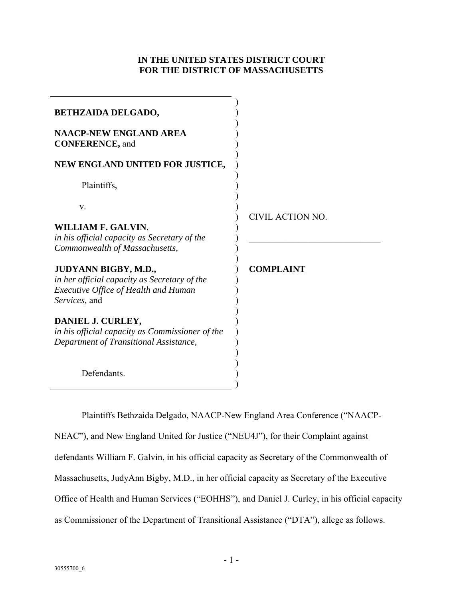# **IN THE UNITED STATES DISTRICT COURT FOR THE DISTRICT OF MASSACHUSETTS**

| <b>BETHZAIDA DELGADO,</b>                                                                                                            |                  |
|--------------------------------------------------------------------------------------------------------------------------------------|------------------|
| <b>NAACP-NEW ENGLAND AREA</b><br><b>CONFERENCE</b> , and                                                                             |                  |
| NEW ENGLAND UNITED FOR JUSTICE,                                                                                                      |                  |
| Plaintiffs,                                                                                                                          |                  |
| V.                                                                                                                                   | CIVIL ACTION NO. |
| WILLIAM F. GALVIN,<br>in his official capacity as Secretary of the<br>Commonwealth of Massachusetts,                                 |                  |
| JUDYANN BIGBY, M.D.,<br>in her official capacity as Secretary of the<br><b>Executive Office of Health and Human</b><br>Services, and | <b>COMPLAINT</b> |
| DANIEL J. CURLEY,<br>in his official capacity as Commissioner of the<br>Department of Transitional Assistance,                       |                  |
| Defendants.                                                                                                                          |                  |

Plaintiffs Bethzaida Delgado, NAACP-New England Area Conference ("NAACP-

NEAC"), and New England United for Justice ("NEU4J"), for their Complaint against defendants William F. Galvin, in his official capacity as Secretary of the Commonwealth of Massachusetts, JudyAnn Bigby, M.D., in her official capacity as Secretary of the Executive Office of Health and Human Services ("EOHHS"), and Daniel J. Curley, in his official capacity as Commissioner of the Department of Transitional Assistance ("DTA"), allege as follows.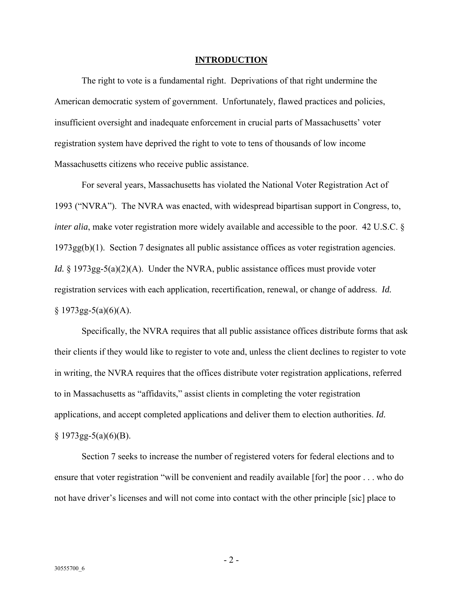#### **INTRODUCTION**

The right to vote is a fundamental right. Deprivations of that right undermine the American democratic system of government. Unfortunately, flawed practices and policies, insufficient oversight and inadequate enforcement in crucial parts of Massachusetts' voter registration system have deprived the right to vote to tens of thousands of low income Massachusetts citizens who receive public assistance.

For several years, Massachusetts has violated the National Voter Registration Act of 1993 ("NVRA"). The NVRA was enacted, with widespread bipartisan support in Congress, to, *inter alia*, make voter registration more widely available and accessible to the poor. 42 U.S.C. § 1973gg(b)(1). Section 7 designates all public assistance offices as voter registration agencies. *Id.* § 1973gg-5(a)(2)(A). Under the NVRA, public assistance offices must provide voter registration services with each application, recertification, renewal, or change of address. *Id.*  $§ 1973gg-5(a)(6)(A).$ 

Specifically, the NVRA requires that all public assistance offices distribute forms that ask their clients if they would like to register to vote and, unless the client declines to register to vote in writing, the NVRA requires that the offices distribute voter registration applications, referred to in Massachusetts as "affidavits," assist clients in completing the voter registration applications, and accept completed applications and deliver them to election authorities. *Id.*  $§ 1973gg-5(a)(6)(B).$ 

Section 7 seeks to increase the number of registered voters for federal elections and to ensure that voter registration "will be convenient and readily available [for] the poor . . . who do not have driver's licenses and will not come into contact with the other principle [sic] place to

- 2 -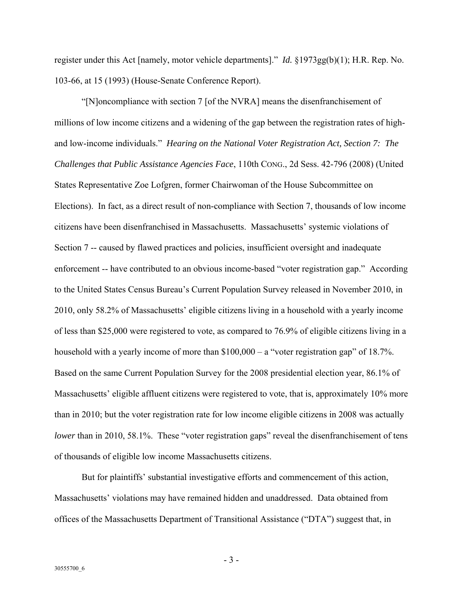register under this Act [namely, motor vehicle departments]." *Id.* §1973gg(b)(1); H.R. Rep. No. 103-66, at 15 (1993) (House-Senate Conference Report).

"[N]oncompliance with section 7 [of the NVRA] means the disenfranchisement of millions of low income citizens and a widening of the gap between the registration rates of highand low-income individuals." *Hearing on the National Voter Registration Act, Section 7: The Challenges that Public Assistance Agencies Face*, 110th CONG., 2d Sess. 42-796 (2008) (United States Representative Zoe Lofgren, former Chairwoman of the House Subcommittee on Elections). In fact, as a direct result of non-compliance with Section 7, thousands of low income citizens have been disenfranchised in Massachusetts. Massachusetts' systemic violations of Section 7 -- caused by flawed practices and policies, insufficient oversight and inadequate enforcement -- have contributed to an obvious income-based "voter registration gap." According to the United States Census Bureau's Current Population Survey released in November 2010, in 2010, only 58.2% of Massachusetts' eligible citizens living in a household with a yearly income of less than \$25,000 were registered to vote, as compared to 76.9% of eligible citizens living in a household with a yearly income of more than \$100,000 – a "voter registration gap" of 18.7%. Based on the same Current Population Survey for the 2008 presidential election year, 86.1% of Massachusetts' eligible affluent citizens were registered to vote, that is, approximately 10% more than in 2010; but the voter registration rate for low income eligible citizens in 2008 was actually *lower* than in 2010, 58.1%. These "voter registration gaps" reveal the disenfranchisement of tens of thousands of eligible low income Massachusetts citizens.

But for plaintiffs' substantial investigative efforts and commencement of this action, Massachusetts' violations may have remained hidden and unaddressed. Data obtained from offices of the Massachusetts Department of Transitional Assistance ("DTA") suggest that, in

- 3 -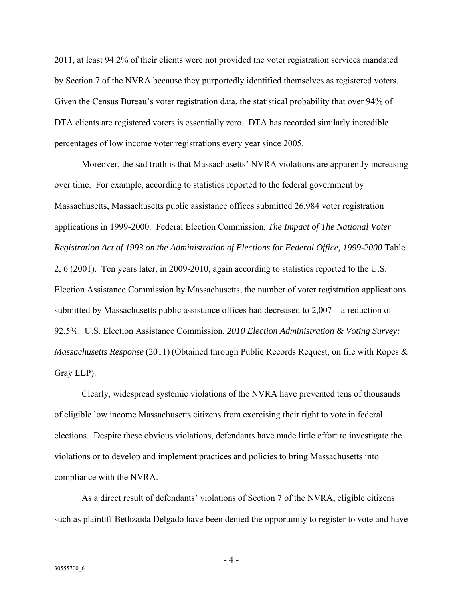2011, at least 94.2% of their clients were not provided the voter registration services mandated by Section 7 of the NVRA because they purportedly identified themselves as registered voters. Given the Census Bureau's voter registration data, the statistical probability that over 94% of DTA clients are registered voters is essentially zero. DTA has recorded similarly incredible percentages of low income voter registrations every year since 2005.

Moreover, the sad truth is that Massachusetts' NVRA violations are apparently increasing over time. For example, according to statistics reported to the federal government by Massachusetts, Massachusetts public assistance offices submitted 26,984 voter registration applications in 1999-2000. Federal Election Commission, *The Impact of The National Voter Registration Act of 1993 on the Administration of Elections for Federal Office, 1999-2000* Table 2, 6 (2001).Ten years later, in 2009-2010, again according to statistics reported to the U.S. Election Assistance Commission by Massachusetts, the number of voter registration applications submitted by Massachusetts public assistance offices had decreased to 2,007 – a reduction of 92.5%. U.S. Election Assistance Commission, *2010 Election Administration & Voting Survey: Massachusetts Response* (2011) (Obtained through Public Records Request, on file with Ropes & Gray LLP).

Clearly, widespread systemic violations of the NVRA have prevented tens of thousands of eligible low income Massachusetts citizens from exercising their right to vote in federal elections. Despite these obvious violations, defendants have made little effort to investigate the violations or to develop and implement practices and policies to bring Massachusetts into compliance with the NVRA.

As a direct result of defendants' violations of Section 7 of the NVRA, eligible citizens such as plaintiff Bethzaida Delgado have been denied the opportunity to register to vote and have

- 4 -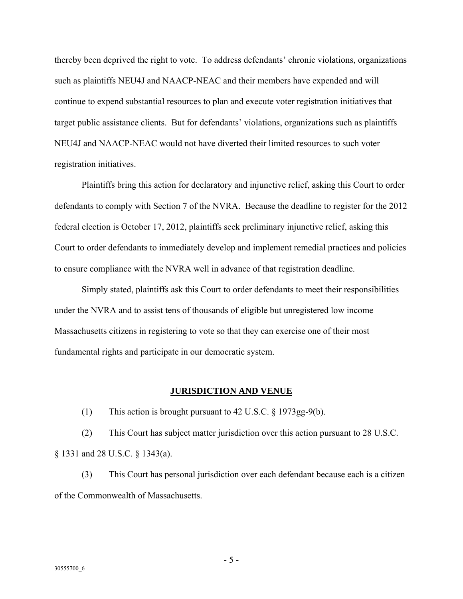thereby been deprived the right to vote. To address defendants' chronic violations, organizations such as plaintiffs NEU4J and NAACP-NEAC and their members have expended and will continue to expend substantial resources to plan and execute voter registration initiatives that target public assistance clients. But for defendants' violations, organizations such as plaintiffs NEU4J and NAACP-NEAC would not have diverted their limited resources to such voter registration initiatives.

Plaintiffs bring this action for declaratory and injunctive relief, asking this Court to order defendants to comply with Section 7 of the NVRA. Because the deadline to register for the 2012 federal election is October 17, 2012, plaintiffs seek preliminary injunctive relief, asking this Court to order defendants to immediately develop and implement remedial practices and policies to ensure compliance with the NVRA well in advance of that registration deadline.

Simply stated, plaintiffs ask this Court to order defendants to meet their responsibilities under the NVRA and to assist tens of thousands of eligible but unregistered low income Massachusetts citizens in registering to vote so that they can exercise one of their most fundamental rights and participate in our democratic system.

# **JURISDICTION AND VENUE**

(1) This action is brought pursuant to 42 U.S.C. § 1973gg-9(b).

(2) This Court has subject matter jurisdiction over this action pursuant to 28 U.S.C. § 1331 and 28 U.S.C. § 1343(a).

(3) This Court has personal jurisdiction over each defendant because each is a citizen of the Commonwealth of Massachusetts.

- 5 -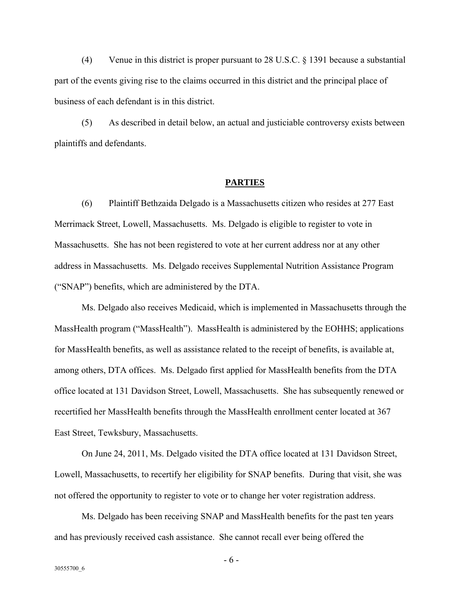(4) Venue in this district is proper pursuant to 28 U.S.C. § 1391 because a substantial part of the events giving rise to the claims occurred in this district and the principal place of business of each defendant is in this district.

(5) As described in detail below, an actual and justiciable controversy exists between plaintiffs and defendants.

# **PARTIES**

(6) Plaintiff Bethzaida Delgado is a Massachusetts citizen who resides at 277 East Merrimack Street, Lowell, Massachusetts. Ms. Delgado is eligible to register to vote in Massachusetts. She has not been registered to vote at her current address nor at any other address in Massachusetts. Ms. Delgado receives Supplemental Nutrition Assistance Program ("SNAP") benefits, which are administered by the DTA.

Ms. Delgado also receives Medicaid, which is implemented in Massachusetts through the MassHealth program ("MassHealth"). MassHealth is administered by the EOHHS; applications for MassHealth benefits, as well as assistance related to the receipt of benefits, is available at, among others, DTA offices. Ms. Delgado first applied for MassHealth benefits from the DTA office located at 131 Davidson Street, Lowell, Massachusetts. She has subsequently renewed or recertified her MassHealth benefits through the MassHealth enrollment center located at 367 East Street, Tewksbury, Massachusetts.

On June 24, 2011, Ms. Delgado visited the DTA office located at 131 Davidson Street, Lowell, Massachusetts, to recertify her eligibility for SNAP benefits. During that visit, she was not offered the opportunity to register to vote or to change her voter registration address.

Ms. Delgado has been receiving SNAP and MassHealth benefits for the past ten years and has previously received cash assistance. She cannot recall ever being offered the

- 6 -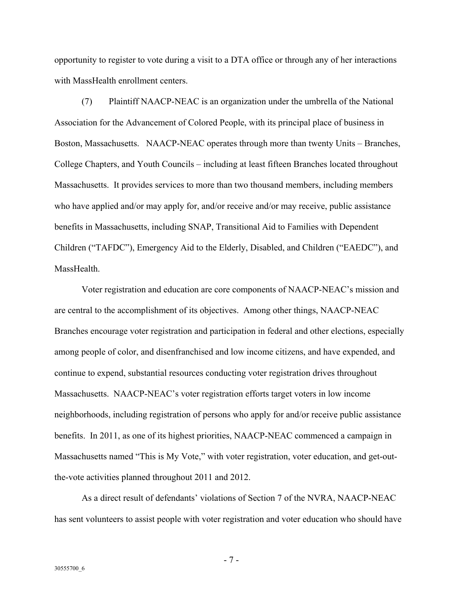opportunity to register to vote during a visit to a DTA office or through any of her interactions with MassHealth enrollment centers.

(7) Plaintiff NAACP-NEAC is an organization under the umbrella of the National Association for the Advancement of Colored People, with its principal place of business in Boston, Massachusetts. NAACP-NEAC operates through more than twenty Units – Branches, College Chapters, and Youth Councils – including at least fifteen Branches located throughout Massachusetts. It provides services to more than two thousand members, including members who have applied and/or may apply for, and/or receive and/or may receive, public assistance benefits in Massachusetts, including SNAP, Transitional Aid to Families with Dependent Children ("TAFDC"), Emergency Aid to the Elderly, Disabled, and Children ("EAEDC"), and MassHealth.

Voter registration and education are core components of NAACP-NEAC's mission and are central to the accomplishment of its objectives. Among other things, NAACP-NEAC Branches encourage voter registration and participation in federal and other elections, especially among people of color, and disenfranchised and low income citizens, and have expended, and continue to expend, substantial resources conducting voter registration drives throughout Massachusetts. NAACP-NEAC's voter registration efforts target voters in low income neighborhoods, including registration of persons who apply for and/or receive public assistance benefits. In 2011, as one of its highest priorities, NAACP-NEAC commenced a campaign in Massachusetts named "This is My Vote," with voter registration, voter education, and get-outthe-vote activities planned throughout 2011 and 2012.

As a direct result of defendants' violations of Section 7 of the NVRA, NAACP-NEAC has sent volunteers to assist people with voter registration and voter education who should have

- 7 -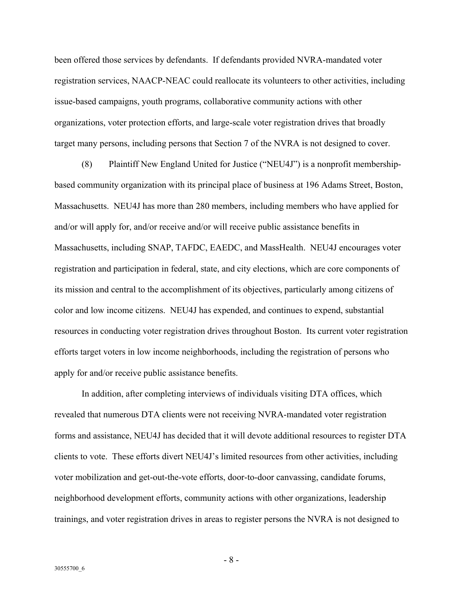been offered those services by defendants. If defendants provided NVRA-mandated voter registration services, NAACP-NEAC could reallocate its volunteers to other activities, including issue-based campaigns, youth programs, collaborative community actions with other organizations, voter protection efforts, and large-scale voter registration drives that broadly target many persons, including persons that Section 7 of the NVRA is not designed to cover.

(8) Plaintiff New England United for Justice ("NEU4J") is a nonprofit membershipbased community organization with its principal place of business at 196 Adams Street, Boston, Massachusetts. NEU4J has more than 280 members, including members who have applied for and/or will apply for, and/or receive and/or will receive public assistance benefits in Massachusetts, including SNAP, TAFDC, EAEDC, and MassHealth. NEU4J encourages voter registration and participation in federal, state, and city elections, which are core components of its mission and central to the accomplishment of its objectives, particularly among citizens of color and low income citizens. NEU4J has expended, and continues to expend, substantial resources in conducting voter registration drives throughout Boston. Its current voter registration efforts target voters in low income neighborhoods, including the registration of persons who apply for and/or receive public assistance benefits.

In addition, after completing interviews of individuals visiting DTA offices, which revealed that numerous DTA clients were not receiving NVRA-mandated voter registration forms and assistance, NEU4J has decided that it will devote additional resources to register DTA clients to vote. These efforts divert NEU4J's limited resources from other activities, including voter mobilization and get-out-the-vote efforts, door-to-door canvassing, candidate forums, neighborhood development efforts, community actions with other organizations, leadership trainings, and voter registration drives in areas to register persons the NVRA is not designed to

- 8 -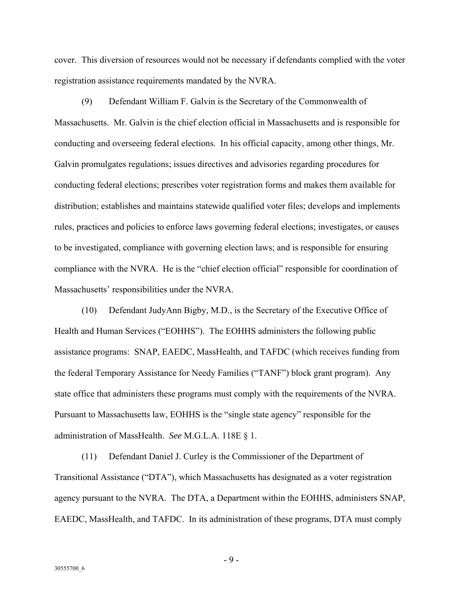cover. This diversion of resources would not be necessary if defendants complied with the voter registration assistance requirements mandated by the NVRA.

(9) Defendant William F. Galvin is the Secretary of the Commonwealth of Massachusetts. Mr. Galvin is the chief election official in Massachusetts and is responsible for conducting and overseeing federal elections. In his official capacity, among other things, Mr. Galvin promulgates regulations; issues directives and advisories regarding procedures for conducting federal elections; prescribes voter registration forms and makes them available for distribution; establishes and maintains statewide qualified voter files; develops and implements rules, practices and policies to enforce laws governing federal elections; investigates, or causes to be investigated, compliance with governing election laws; and is responsible for ensuring compliance with the NVRA. He is the "chief election official" responsible for coordination of Massachusetts' responsibilities under the NVRA.

(10) Defendant JudyAnn Bigby, M.D., is the Secretary of the Executive Office of Health and Human Services ("EOHHS"). The EOHHS administers the following public assistance programs: SNAP, EAEDC, MassHealth, and TAFDC (which receives funding from the federal Temporary Assistance for Needy Families ("TANF") block grant program). Any state office that administers these programs must comply with the requirements of the NVRA. Pursuant to Massachusetts law, EOHHS is the "single state agency" responsible for the administration of MassHealth. *See* M.G.L.A. 118E § 1.

(11) Defendant Daniel J. Curley is the Commissioner of the Department of Transitional Assistance ("DTA"), which Massachusetts has designated as a voter registration agency pursuant to the NVRA. The DTA, a Department within the EOHHS, administers SNAP, EAEDC, MassHealth, and TAFDC. In its administration of these programs, DTA must comply

- 9 -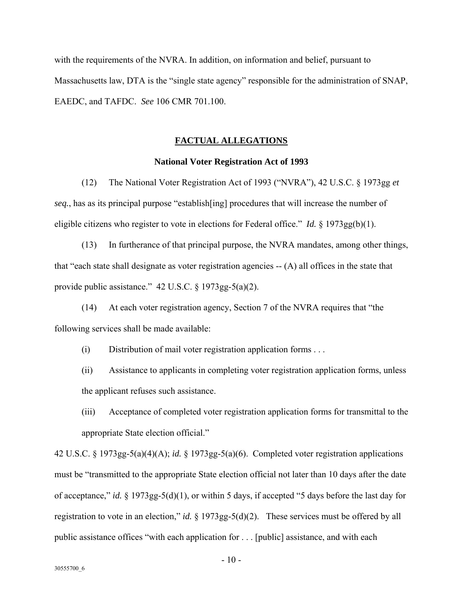with the requirements of the NVRA. In addition, on information and belief, pursuant to Massachusetts law, DTA is the "single state agency" responsible for the administration of SNAP, EAEDC, and TAFDC. *See* 106 CMR 701.100.

# **FACTUAL ALLEGATIONS**

# **National Voter Registration Act of 1993**

(12) The National Voter Registration Act of 1993 ("NVRA"), 42 U.S.C. § 1973gg *et seq.*, has as its principal purpose "establish[ing] procedures that will increase the number of eligible citizens who register to vote in elections for Federal office." *Id.* § 1973gg(b)(1).

(13) In furtherance of that principal purpose, the NVRA mandates, among other things, that "each state shall designate as voter registration agencies -- (A) all offices in the state that provide public assistance." 42 U.S.C. § 1973gg-5(a)(2).

(14) At each voter registration agency, Section 7 of the NVRA requires that "the following services shall be made available:

(i) Distribution of mail voter registration application forms . . .

(ii) Assistance to applicants in completing voter registration application forms, unless the applicant refuses such assistance.

(iii) Acceptance of completed voter registration application forms for transmittal to the appropriate State election official."

42 U.S.C. § 1973gg-5(a)(4)(A); *id.* § 1973gg-5(a)(6). Completed voter registration applications must be "transmitted to the appropriate State election official not later than 10 days after the date of acceptance," *id.* § 1973gg-5(d)(1), or within 5 days, if accepted "5 days before the last day for registration to vote in an election," *id.* § 1973gg-5(d)(2). These services must be offered by all public assistance offices "with each application for . . . [public] assistance, and with each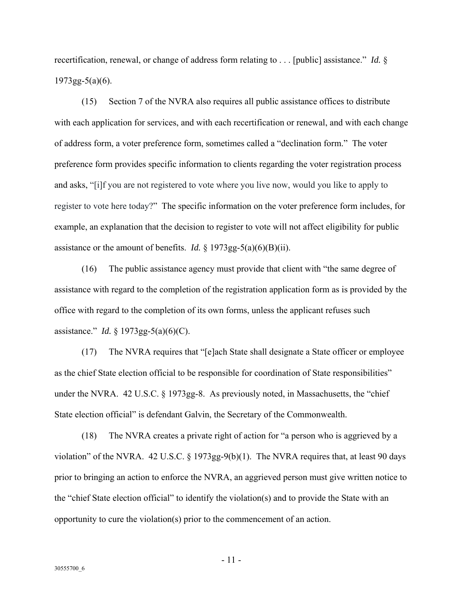recertification, renewal, or change of address form relating to . . . [public] assistance." *Id.* §  $1973gg-5(a)(6)$ .

(15) Section 7 of the NVRA also requires all public assistance offices to distribute with each application for services, and with each recertification or renewal, and with each change of address form, a voter preference form, sometimes called a "declination form." The voter preference form provides specific information to clients regarding the voter registration process and asks, "[i]f you are not registered to vote where you live now, would you like to apply to register to vote here today?" The specific information on the voter preference form includes, for example, an explanation that the decision to register to vote will not affect eligibility for public assistance or the amount of benefits. *Id.*  $\S$  1973gg-5(a)(6)(B)(ii).

(16) The public assistance agency must provide that client with "the same degree of assistance with regard to the completion of the registration application form as is provided by the office with regard to the completion of its own forms, unless the applicant refuses such assistance." *Id.* § 1973gg-5(a)(6)(C).

(17) The NVRA requires that "[e]ach State shall designate a State officer or employee as the chief State election official to be responsible for coordination of State responsibilities" under the NVRA. 42 U.S.C. § 1973gg-8. As previously noted, in Massachusetts, the "chief State election official" is defendant Galvin, the Secretary of the Commonwealth.

(18) The NVRA creates a private right of action for "a person who is aggrieved by a violation" of the NVRA. 42 U.S.C. § 1973gg-9(b)(1). The NVRA requires that, at least 90 days prior to bringing an action to enforce the NVRA, an aggrieved person must give written notice to the "chief State election official" to identify the violation(s) and to provide the State with an opportunity to cure the violation(s) prior to the commencement of an action.

- 11 -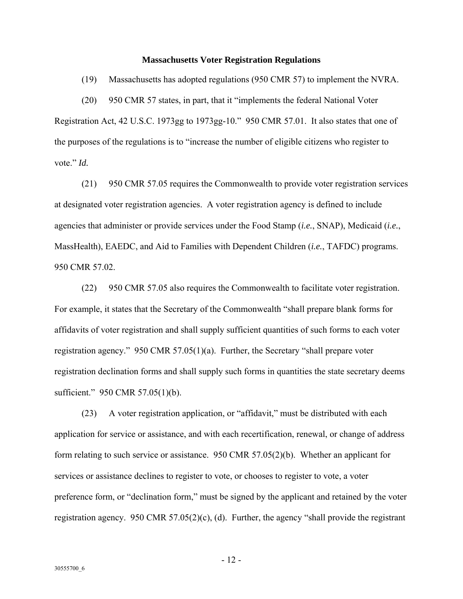#### **Massachusetts Voter Registration Regulations**

(19) Massachusetts has adopted regulations (950 CMR 57) to implement the NVRA.

(20) 950 CMR 57 states, in part, that it "implements the federal National Voter Registration Act, 42 U.S.C. 1973gg to 1973gg-10." 950 CMR 57.01. It also states that one of the purposes of the regulations is to "increase the number of eligible citizens who register to vote." *Id.* 

(21) 950 CMR 57.05 requires the Commonwealth to provide voter registration services at designated voter registration agencies. A voter registration agency is defined to include agencies that administer or provide services under the Food Stamp (*i.e.*, SNAP), Medicaid (*i.e.*, MassHealth), EAEDC, and Aid to Families with Dependent Children (*i.e.*, TAFDC) programs. 950 CMR 57.02.

(22) 950 CMR 57.05 also requires the Commonwealth to facilitate voter registration. For example, it states that the Secretary of the Commonwealth "shall prepare blank forms for affidavits of voter registration and shall supply sufficient quantities of such forms to each voter registration agency." 950 CMR 57.05(1)(a). Further, the Secretary "shall prepare voter registration declination forms and shall supply such forms in quantities the state secretary deems sufficient." 950 CMR 57.05(1)(b).

(23) A voter registration application, or "affidavit," must be distributed with each application for service or assistance, and with each recertification, renewal, or change of address form relating to such service or assistance. 950 CMR 57.05(2)(b). Whether an applicant for services or assistance declines to register to vote, or chooses to register to vote, a voter preference form, or "declination form," must be signed by the applicant and retained by the voter registration agency. 950 CMR 57.05(2)(c), (d). Further, the agency "shall provide the registrant

- 12 -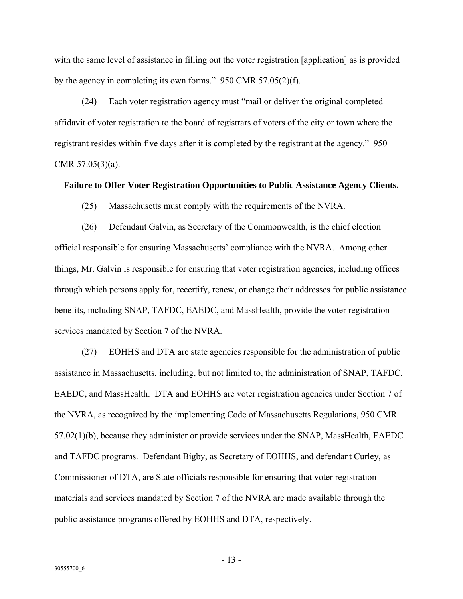with the same level of assistance in filling out the voter registration [application] as is provided by the agency in completing its own forms." 950 CMR 57.05(2)(f).

(24) Each voter registration agency must "mail or deliver the original completed affidavit of voter registration to the board of registrars of voters of the city or town where the registrant resides within five days after it is completed by the registrant at the agency." 950 CMR 57.05(3)(a).

#### **Failure to Offer Voter Registration Opportunities to Public Assistance Agency Clients.**

(25) Massachusetts must comply with the requirements of the NVRA.

(26) Defendant Galvin, as Secretary of the Commonwealth, is the chief election official responsible for ensuring Massachusetts' compliance with the NVRA. Among other things, Mr. Galvin is responsible for ensuring that voter registration agencies, including offices through which persons apply for, recertify, renew, or change their addresses for public assistance benefits, including SNAP, TAFDC, EAEDC, and MassHealth, provide the voter registration services mandated by Section 7 of the NVRA.

(27) EOHHS and DTA are state agencies responsible for the administration of public assistance in Massachusetts, including, but not limited to, the administration of SNAP, TAFDC, EAEDC, and MassHealth. DTA and EOHHS are voter registration agencies under Section 7 of the NVRA, as recognized by the implementing Code of Massachusetts Regulations, 950 CMR 57.02(1)(b), because they administer or provide services under the SNAP, MassHealth, EAEDC and TAFDC programs. Defendant Bigby, as Secretary of EOHHS, and defendant Curley, as Commissioner of DTA, are State officials responsible for ensuring that voter registration materials and services mandated by Section 7 of the NVRA are made available through the public assistance programs offered by EOHHS and DTA, respectively.

- 13 -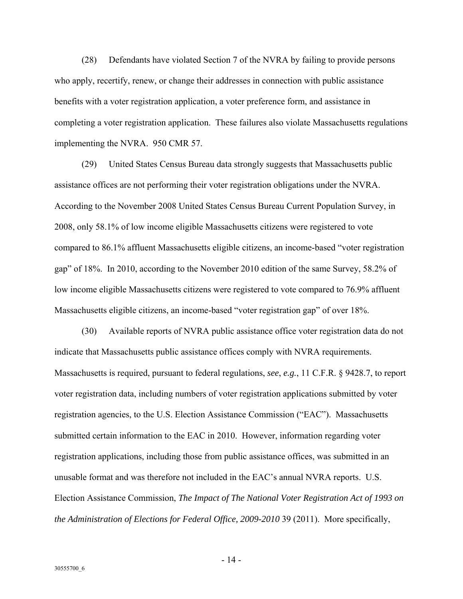(28) Defendants have violated Section 7 of the NVRA by failing to provide persons who apply, recertify, renew, or change their addresses in connection with public assistance benefits with a voter registration application, a voter preference form, and assistance in completing a voter registration application. These failures also violate Massachusetts regulations implementing the NVRA. 950 CMR 57.

(29) United States Census Bureau data strongly suggests that Massachusetts public assistance offices are not performing their voter registration obligations under the NVRA. According to the November 2008 United States Census Bureau Current Population Survey, in 2008, only 58.1% of low income eligible Massachusetts citizens were registered to vote compared to 86.1% affluent Massachusetts eligible citizens, an income-based "voter registration gap" of 18%. In 2010, according to the November 2010 edition of the same Survey, 58.2% of low income eligible Massachusetts citizens were registered to vote compared to 76.9% affluent Massachusetts eligible citizens, an income-based "voter registration gap" of over 18%.

(30) Available reports of NVRA public assistance office voter registration data do not indicate that Massachusetts public assistance offices comply with NVRA requirements. Massachusetts is required, pursuant to federal regulations, *see*, *e.g.*, 11 C.F.R. § 9428.7, to report voter registration data, including numbers of voter registration applications submitted by voter registration agencies, to the U.S. Election Assistance Commission ("EAC"). Massachusetts submitted certain information to the EAC in 2010. However, information regarding voter registration applications, including those from public assistance offices, was submitted in an unusable format and was therefore not included in the EAC's annual NVRA reports. U.S. Election Assistance Commission, *The Impact of The National Voter Registration Act of 1993 on the Administration of Elections for Federal Office, 2009-2010* 39 (2011). More specifically,

- 14 -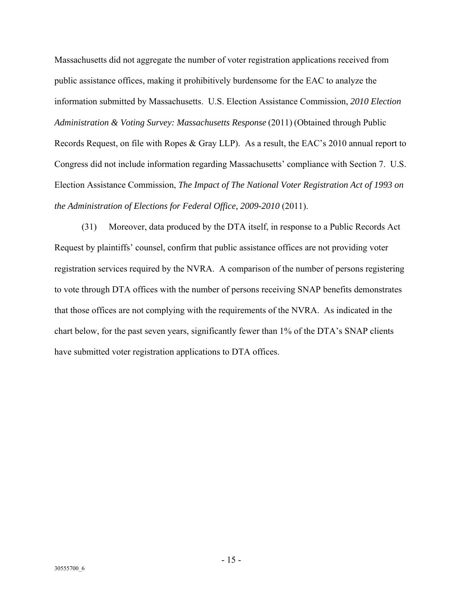Massachusetts did not aggregate the number of voter registration applications received from public assistance offices, making it prohibitively burdensome for the EAC to analyze the information submitted by Massachusetts. U.S. Election Assistance Commission, *2010 Election Administration & Voting Survey: Massachusetts Response* (2011) (Obtained through Public Records Request, on file with Ropes & Gray LLP). As a result, the EAC's 2010 annual report to Congress did not include information regarding Massachusetts' compliance with Section 7. U.S. Election Assistance Commission, *The Impact of The National Voter Registration Act of 1993 on the Administration of Elections for Federal Office, 2009-2010* (2011).

(31) Moreover, data produced by the DTA itself, in response to a Public Records Act Request by plaintiffs' counsel, confirm that public assistance offices are not providing voter registration services required by the NVRA. A comparison of the number of persons registering to vote through DTA offices with the number of persons receiving SNAP benefits demonstrates that those offices are not complying with the requirements of the NVRA. As indicated in the chart below, for the past seven years, significantly fewer than 1% of the DTA's SNAP clients have submitted voter registration applications to DTA offices.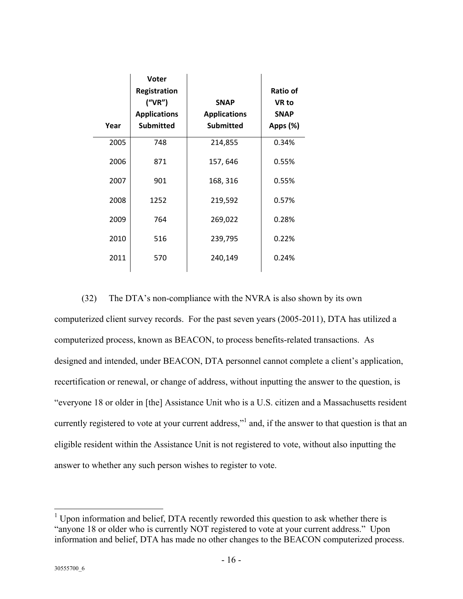| Year | Voter<br>Registration<br>(''VR'')<br><b>Applications</b><br><b>Submitted</b> | <b>SNAP</b><br><b>Applications</b><br><b>Submitted</b> | <b>Ratio of</b><br>VR to<br><b>SNAP</b><br>Apps (%) |
|------|------------------------------------------------------------------------------|--------------------------------------------------------|-----------------------------------------------------|
| 2005 | 748                                                                          | 214,855                                                | 0.34%                                               |
| 2006 | 871                                                                          | 157, 646                                               | 0.55%                                               |
| 2007 | 901                                                                          | 168, 316                                               | 0.55%                                               |
| 2008 | 1252                                                                         | 219,592                                                | 0.57%                                               |
| 2009 | 764                                                                          | 269,022                                                | 0.28%                                               |
| 2010 | 516                                                                          | 239,795                                                | 0.22%                                               |
| 2011 | 570                                                                          | 240,149                                                | 0.24%                                               |

(32) The DTA's non-compliance with the NVRA is also shown by its own computerized client survey records. For the past seven years (2005-2011), DTA has utilized a computerized process, known as BEACON, to process benefits-related transactions. As designed and intended, under BEACON, DTA personnel cannot complete a client's application, recertification or renewal, or change of address, without inputting the answer to the question, is "everyone 18 or older in [the] Assistance Unit who is a U.S. citizen and a Massachusetts resident currently registered to vote at your current address,"<sup>1</sup> and, if the answer to that question is that an eligible resident within the Assistance Unit is not registered to vote, without also inputting the answer to whether any such person wishes to register to vote.

 $\overline{a}$ 

 $1$  Upon information and belief, DTA recently reworded this question to ask whether there is "anyone 18 or older who is currently NOT registered to vote at your current address." Upon information and belief, DTA has made no other changes to the BEACON computerized process.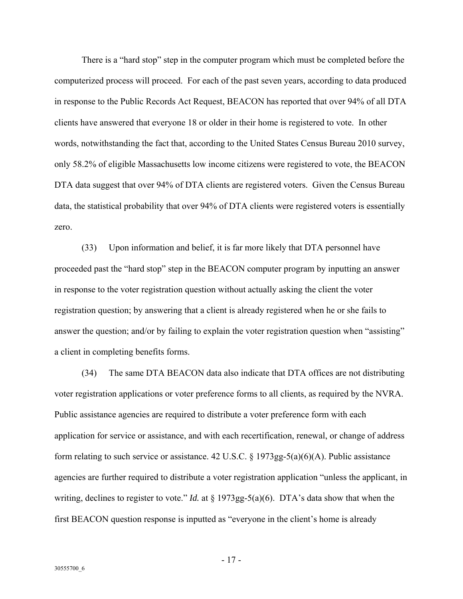There is a "hard stop" step in the computer program which must be completed before the computerized process will proceed. For each of the past seven years, according to data produced in response to the Public Records Act Request, BEACON has reported that over 94% of all DTA clients have answered that everyone 18 or older in their home is registered to vote. In other words, notwithstanding the fact that, according to the United States Census Bureau 2010 survey, only 58.2% of eligible Massachusetts low income citizens were registered to vote, the BEACON DTA data suggest that over 94% of DTA clients are registered voters. Given the Census Bureau data, the statistical probability that over 94% of DTA clients were registered voters is essentially zero.

(33) Upon information and belief, it is far more likely that DTA personnel have proceeded past the "hard stop" step in the BEACON computer program by inputting an answer in response to the voter registration question without actually asking the client the voter registration question; by answering that a client is already registered when he or she fails to answer the question; and/or by failing to explain the voter registration question when "assisting" a client in completing benefits forms.

(34) The same DTA BEACON data also indicate that DTA offices are not distributing voter registration applications or voter preference forms to all clients, as required by the NVRA. Public assistance agencies are required to distribute a voter preference form with each application for service or assistance, and with each recertification, renewal, or change of address form relating to such service or assistance. 42 U.S.C.  $\S 1973gg-5(a)(6)(A)$ . Public assistance agencies are further required to distribute a voter registration application "unless the applicant, in writing, declines to register to vote." *Id.* at § 1973gg-5(a)(6). DTA's data show that when the first BEACON question response is inputted as "everyone in the client's home is already

- 17 -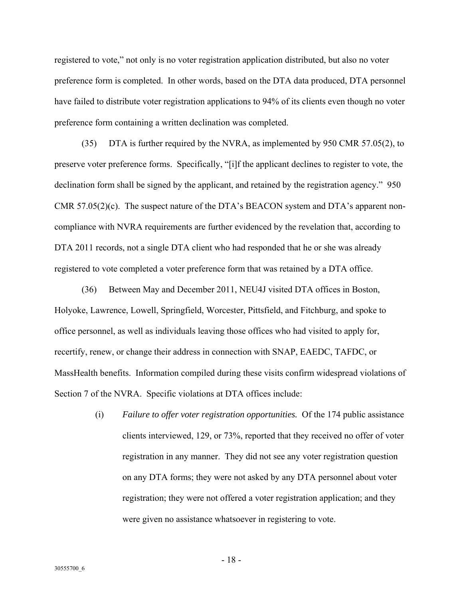registered to vote," not only is no voter registration application distributed, but also no voter preference form is completed. In other words, based on the DTA data produced, DTA personnel have failed to distribute voter registration applications to 94% of its clients even though no voter preference form containing a written declination was completed.

(35) DTA is further required by the NVRA, as implemented by 950 CMR 57.05(2), to preserve voter preference forms. Specifically, "[i]f the applicant declines to register to vote, the declination form shall be signed by the applicant, and retained by the registration agency." 950 CMR 57.05(2)(c). The suspect nature of the DTA's BEACON system and DTA's apparent noncompliance with NVRA requirements are further evidenced by the revelation that, according to DTA 2011 records, not a single DTA client who had responded that he or she was already registered to vote completed a voter preference form that was retained by a DTA office.

(36) Between May and December 2011, NEU4J visited DTA offices in Boston, Holyoke, Lawrence, Lowell, Springfield, Worcester, Pittsfield, and Fitchburg, and spoke to office personnel, as well as individuals leaving those offices who had visited to apply for, recertify, renew, or change their address in connection with SNAP, EAEDC, TAFDC, or MassHealth benefits. Information compiled during these visits confirm widespread violations of Section 7 of the NVRA. Specific violations at DTA offices include:

> (i) *Failure to offer voter registration opportunities.* Of the 174 public assistance clients interviewed, 129, or 73%, reported that they received no offer of voter registration in any manner. They did not see any voter registration question on any DTA forms; they were not asked by any DTA personnel about voter registration; they were not offered a voter registration application; and they were given no assistance whatsoever in registering to vote.

- 18 -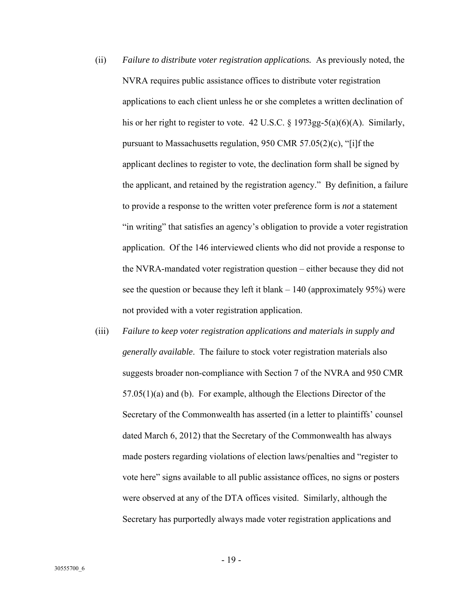- (ii) *Failure to distribute voter registration applications.* As previously noted, the NVRA requires public assistance offices to distribute voter registration applications to each client unless he or she completes a written declination of his or her right to register to vote. 42 U.S.C. § 1973gg-5(a)(6)(A). Similarly, pursuant to Massachusetts regulation, 950 CMR 57.05(2)(c), "[i]f the applicant declines to register to vote, the declination form shall be signed by the applicant, and retained by the registration agency." By definition, a failure to provide a response to the written voter preference form is *not* a statement "in writing" that satisfies an agency's obligation to provide a voter registration application. Of the 146 interviewed clients who did not provide a response to the NVRA-mandated voter registration question – either because they did not see the question or because they left it blank  $-140$  (approximately 95%) were not provided with a voter registration application.
- (iii) *Failure to keep voter registration applications and materials in supply and generally available*. The failure to stock voter registration materials also suggests broader non-compliance with Section 7 of the NVRA and 950 CMR 57.05(1)(a) and (b). For example, although the Elections Director of the Secretary of the Commonwealth has asserted (in a letter to plaintiffs' counsel dated March 6, 2012) that the Secretary of the Commonwealth has always made posters regarding violations of election laws/penalties and "register to vote here" signs available to all public assistance offices, no signs or posters were observed at any of the DTA offices visited. Similarly, although the Secretary has purportedly always made voter registration applications and

- 19 -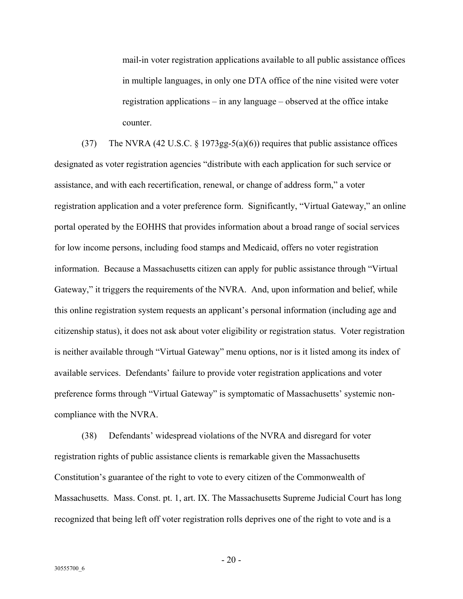mail-in voter registration applications available to all public assistance offices in multiple languages, in only one DTA office of the nine visited were voter registration applications – in any language – observed at the office intake counter.

(37) The NVRA (42 U.S.C. § 1973gg-5(a)(6)) requires that public assistance offices designated as voter registration agencies "distribute with each application for such service or assistance, and with each recertification, renewal, or change of address form," a voter registration application and a voter preference form. Significantly, "Virtual Gateway," an online portal operated by the EOHHS that provides information about a broad range of social services for low income persons, including food stamps and Medicaid, offers no voter registration information. Because a Massachusetts citizen can apply for public assistance through "Virtual Gateway," it triggers the requirements of the NVRA. And, upon information and belief, while this online registration system requests an applicant's personal information (including age and citizenship status), it does not ask about voter eligibility or registration status. Voter registration is neither available through "Virtual Gateway" menu options, nor is it listed among its index of available services. Defendants' failure to provide voter registration applications and voter preference forms through "Virtual Gateway" is symptomatic of Massachusetts' systemic noncompliance with the NVRA.

(38) Defendants' widespread violations of the NVRA and disregard for voter registration rights of public assistance clients is remarkable given the Massachusetts Constitution's guarantee of the right to vote to every citizen of the Commonwealth of Massachusetts. Mass. Const. pt. 1, art. IX. The Massachusetts Supreme Judicial Court has long recognized that being left off voter registration rolls deprives one of the right to vote and is a

 $-20-$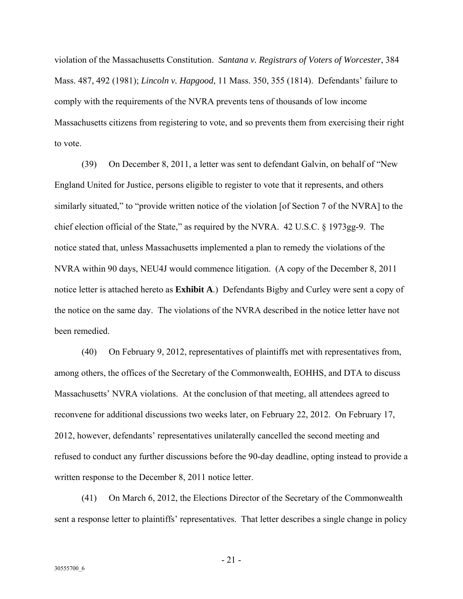violation of the Massachusetts Constitution. *Santana v. Registrars of Voters of Worcester*, 384 Mass. 487, 492 (1981); *Lincoln v. Hapgood*, 11 Mass. 350, 355 (1814). Defendants' failure to comply with the requirements of the NVRA prevents tens of thousands of low income Massachusetts citizens from registering to vote, and so prevents them from exercising their right to vote.

(39) On December 8, 2011, a letter was sent to defendant Galvin, on behalf of "New England United for Justice, persons eligible to register to vote that it represents, and others similarly situated," to "provide written notice of the violation [of Section 7 of the NVRA] to the chief election official of the State," as required by the NVRA. 42 U.S.C. § 1973gg-9. The notice stated that, unless Massachusetts implemented a plan to remedy the violations of the NVRA within 90 days, NEU4J would commence litigation. (A copy of the December 8, 2011 notice letter is attached hereto as **Exhibit A**.) Defendants Bigby and Curley were sent a copy of the notice on the same day. The violations of the NVRA described in the notice letter have not been remedied.

(40) On February 9, 2012, representatives of plaintiffs met with representatives from, among others, the offices of the Secretary of the Commonwealth, EOHHS, and DTA to discuss Massachusetts' NVRA violations. At the conclusion of that meeting, all attendees agreed to reconvene for additional discussions two weeks later, on February 22, 2012. On February 17, 2012, however, defendants' representatives unilaterally cancelled the second meeting and refused to conduct any further discussions before the 90-day deadline, opting instead to provide a written response to the December 8, 2011 notice letter.

(41) On March 6, 2012, the Elections Director of the Secretary of the Commonwealth sent a response letter to plaintiffs' representatives. That letter describes a single change in policy

 $-21 -$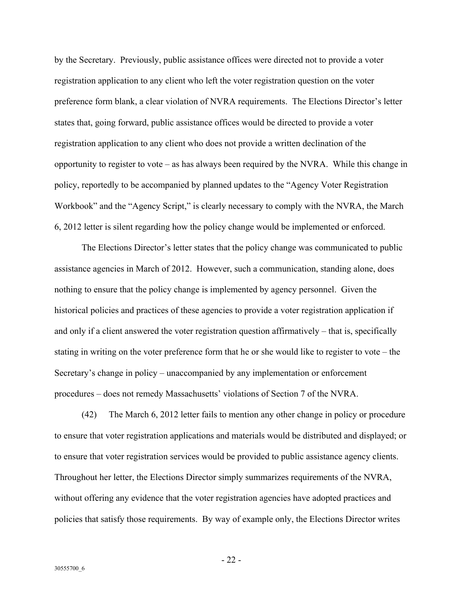by the Secretary. Previously, public assistance offices were directed not to provide a voter registration application to any client who left the voter registration question on the voter preference form blank, a clear violation of NVRA requirements. The Elections Director's letter states that, going forward, public assistance offices would be directed to provide a voter registration application to any client who does not provide a written declination of the opportunity to register to vote – as has always been required by the NVRA. While this change in policy, reportedly to be accompanied by planned updates to the "Agency Voter Registration Workbook" and the "Agency Script," is clearly necessary to comply with the NVRA, the March 6, 2012 letter is silent regarding how the policy change would be implemented or enforced.

The Elections Director's letter states that the policy change was communicated to public assistance agencies in March of 2012. However, such a communication, standing alone, does nothing to ensure that the policy change is implemented by agency personnel. Given the historical policies and practices of these agencies to provide a voter registration application if and only if a client answered the voter registration question affirmatively – that is, specifically stating in writing on the voter preference form that he or she would like to register to vote – the Secretary's change in policy – unaccompanied by any implementation or enforcement procedures – does not remedy Massachusetts' violations of Section 7 of the NVRA.

(42) The March 6, 2012 letter fails to mention any other change in policy or procedure to ensure that voter registration applications and materials would be distributed and displayed; or to ensure that voter registration services would be provided to public assistance agency clients. Throughout her letter, the Elections Director simply summarizes requirements of the NVRA, without offering any evidence that the voter registration agencies have adopted practices and policies that satisfy those requirements. By way of example only, the Elections Director writes

- 22 -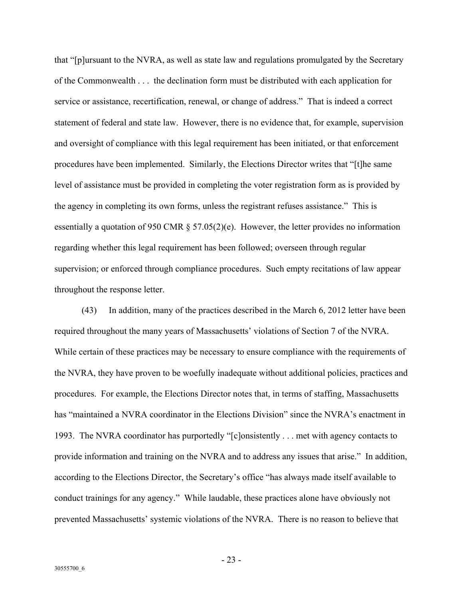that "[p]ursuant to the NVRA, as well as state law and regulations promulgated by the Secretary of the Commonwealth . . . the declination form must be distributed with each application for service or assistance, recertification, renewal, or change of address." That is indeed a correct statement of federal and state law. However, there is no evidence that, for example, supervision and oversight of compliance with this legal requirement has been initiated, or that enforcement procedures have been implemented. Similarly, the Elections Director writes that "[t]he same level of assistance must be provided in completing the voter registration form as is provided by the agency in completing its own forms, unless the registrant refuses assistance." This is essentially a quotation of 950 CMR § 57.05(2)(e). However, the letter provides no information regarding whether this legal requirement has been followed; overseen through regular supervision; or enforced through compliance procedures. Such empty recitations of law appear throughout the response letter.

(43) In addition, many of the practices described in the March 6, 2012 letter have been required throughout the many years of Massachusetts' violations of Section 7 of the NVRA. While certain of these practices may be necessary to ensure compliance with the requirements of the NVRA, they have proven to be woefully inadequate without additional policies, practices and procedures. For example, the Elections Director notes that, in terms of staffing, Massachusetts has "maintained a NVRA coordinator in the Elections Division" since the NVRA's enactment in 1993. The NVRA coordinator has purportedly "[c]onsistently . . . met with agency contacts to provide information and training on the NVRA and to address any issues that arise." In addition, according to the Elections Director, the Secretary's office "has always made itself available to conduct trainings for any agency." While laudable, these practices alone have obviously not prevented Massachusetts' systemic violations of the NVRA. There is no reason to believe that

- 23 -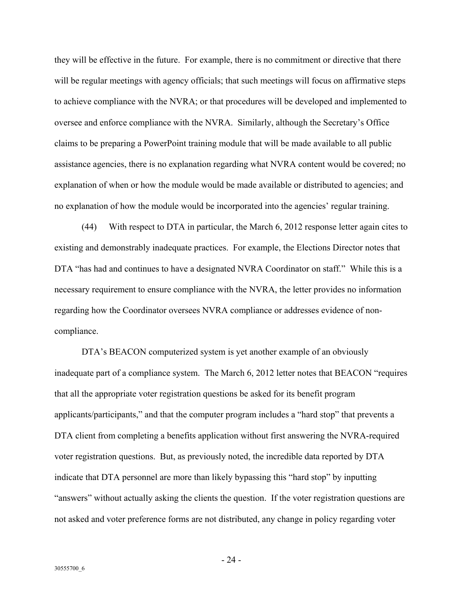they will be effective in the future. For example, there is no commitment or directive that there will be regular meetings with agency officials; that such meetings will focus on affirmative steps to achieve compliance with the NVRA; or that procedures will be developed and implemented to oversee and enforce compliance with the NVRA. Similarly, although the Secretary's Office claims to be preparing a PowerPoint training module that will be made available to all public assistance agencies, there is no explanation regarding what NVRA content would be covered; no explanation of when or how the module would be made available or distributed to agencies; and no explanation of how the module would be incorporated into the agencies' regular training.

(44) With respect to DTA in particular, the March 6, 2012 response letter again cites to existing and demonstrably inadequate practices. For example, the Elections Director notes that DTA "has had and continues to have a designated NVRA Coordinator on staff." While this is a necessary requirement to ensure compliance with the NVRA, the letter provides no information regarding how the Coordinator oversees NVRA compliance or addresses evidence of noncompliance.

DTA's BEACON computerized system is yet another example of an obviously inadequate part of a compliance system. The March 6, 2012 letter notes that BEACON "requires that all the appropriate voter registration questions be asked for its benefit program applicants/participants," and that the computer program includes a "hard stop" that prevents a DTA client from completing a benefits application without first answering the NVRA-required voter registration questions. But, as previously noted, the incredible data reported by DTA indicate that DTA personnel are more than likely bypassing this "hard stop" by inputting "answers" without actually asking the clients the question. If the voter registration questions are not asked and voter preference forms are not distributed, any change in policy regarding voter

- 24 -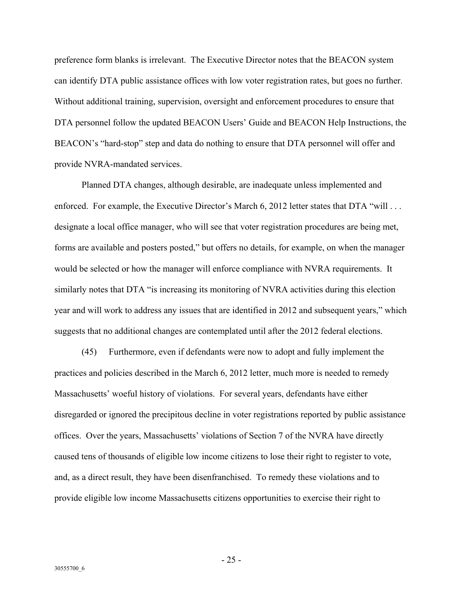preference form blanks is irrelevant. The Executive Director notes that the BEACON system can identify DTA public assistance offices with low voter registration rates, but goes no further. Without additional training, supervision, oversight and enforcement procedures to ensure that DTA personnel follow the updated BEACON Users' Guide and BEACON Help Instructions, the BEACON's "hard-stop" step and data do nothing to ensure that DTA personnel will offer and provide NVRA-mandated services.

Planned DTA changes, although desirable, are inadequate unless implemented and enforced. For example, the Executive Director's March 6, 2012 letter states that DTA "will . . . designate a local office manager, who will see that voter registration procedures are being met, forms are available and posters posted," but offers no details, for example, on when the manager would be selected or how the manager will enforce compliance with NVRA requirements. It similarly notes that DTA "is increasing its monitoring of NVRA activities during this election year and will work to address any issues that are identified in 2012 and subsequent years," which suggests that no additional changes are contemplated until after the 2012 federal elections.

(45) Furthermore, even if defendants were now to adopt and fully implement the practices and policies described in the March 6, 2012 letter, much more is needed to remedy Massachusetts' woeful history of violations. For several years, defendants have either disregarded or ignored the precipitous decline in voter registrations reported by public assistance offices. Over the years, Massachusetts' violations of Section 7 of the NVRA have directly caused tens of thousands of eligible low income citizens to lose their right to register to vote, and, as a direct result, they have been disenfranchised. To remedy these violations and to provide eligible low income Massachusetts citizens opportunities to exercise their right to

 $-25 -$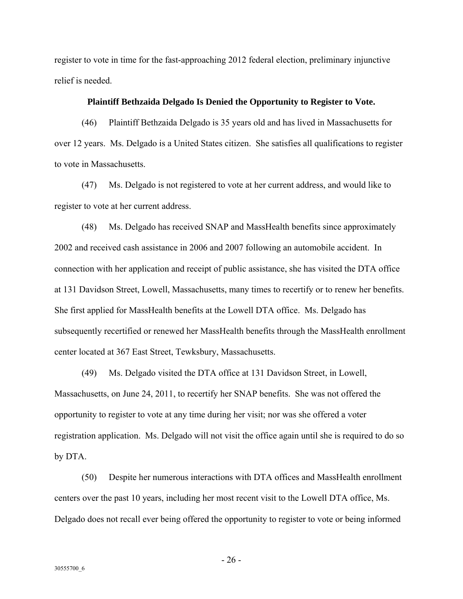register to vote in time for the fast-approaching 2012 federal election, preliminary injunctive relief is needed.

# **Plaintiff Bethzaida Delgado Is Denied the Opportunity to Register to Vote.**

(46) Plaintiff Bethzaida Delgado is 35 years old and has lived in Massachusetts for over 12 years. Ms. Delgado is a United States citizen. She satisfies all qualifications to register to vote in Massachusetts.

(47) Ms. Delgado is not registered to vote at her current address, and would like to register to vote at her current address.

(48) Ms. Delgado has received SNAP and MassHealth benefits since approximately 2002 and received cash assistance in 2006 and 2007 following an automobile accident. In connection with her application and receipt of public assistance, she has visited the DTA office at 131 Davidson Street, Lowell, Massachusetts, many times to recertify or to renew her benefits. She first applied for MassHealth benefits at the Lowell DTA office. Ms. Delgado has subsequently recertified or renewed her MassHealth benefits through the MassHealth enrollment center located at 367 East Street, Tewksbury, Massachusetts.

(49) Ms. Delgado visited the DTA office at 131 Davidson Street, in Lowell, Massachusetts, on June 24, 2011, to recertify her SNAP benefits. She was not offered the opportunity to register to vote at any time during her visit; nor was she offered a voter registration application. Ms. Delgado will not visit the office again until she is required to do so by DTA.

(50) Despite her numerous interactions with DTA offices and MassHealth enrollment centers over the past 10 years, including her most recent visit to the Lowell DTA office, Ms. Delgado does not recall ever being offered the opportunity to register to vote or being informed

- 26 -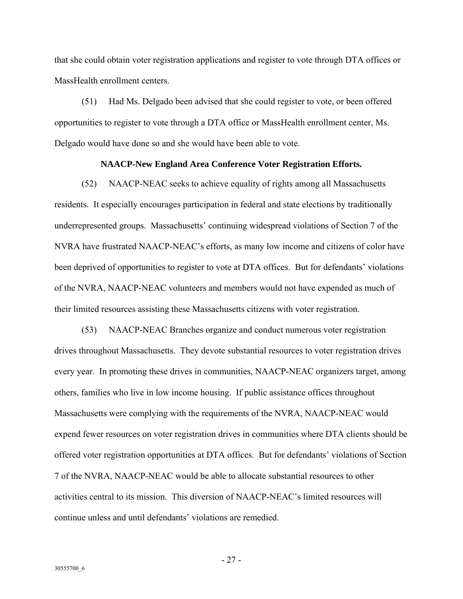that she could obtain voter registration applications and register to vote through DTA offices or MassHealth enrollment centers.

(51) Had Ms. Delgado been advised that she could register to vote, or been offered opportunities to register to vote through a DTA office or MassHealth enrollment center, Ms. Delgado would have done so and she would have been able to vote.

# **NAACP-New England Area Conference Voter Registration Efforts.**

(52) NAACP-NEAC seeks to achieve equality of rights among all Massachusetts residents. It especially encourages participation in federal and state elections by traditionally underrepresented groups. Massachusetts' continuing widespread violations of Section 7 of the NVRA have frustrated NAACP-NEAC's efforts, as many low income and citizens of color have been deprived of opportunities to register to vote at DTA offices. But for defendants' violations of the NVRA, NAACP-NEAC volunteers and members would not have expended as much of their limited resources assisting these Massachusetts citizens with voter registration.

(53) NAACP-NEAC Branches organize and conduct numerous voter registration drives throughout Massachusetts. They devote substantial resources to voter registration drives every year. In promoting these drives in communities, NAACP-NEAC organizers target, among others, families who live in low income housing. If public assistance offices throughout Massachusetts were complying with the requirements of the NVRA, NAACP-NEAC would expend fewer resources on voter registration drives in communities where DTA clients should be offered voter registration opportunities at DTA offices. But for defendants' violations of Section 7 of the NVRA, NAACP-NEAC would be able to allocate substantial resources to other activities central to its mission. This diversion of NAACP-NEAC's limited resources will continue unless and until defendants' violations are remedied.

- 27 -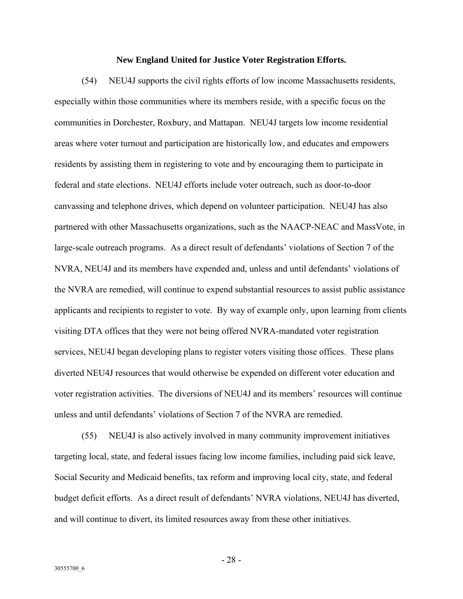# **New England United for Justice Voter Registration Efforts.**

(54) NEU4J supports the civil rights efforts of low income Massachusetts residents, especially within those communities where its members reside, with a specific focus on the communities in Dorchester, Roxbury, and Mattapan. NEU4J targets low income residential areas where voter turnout and participation are historically low, and educates and empowers residents by assisting them in registering to vote and by encouraging them to participate in federal and state elections. NEU4J efforts include voter outreach, such as door-to-door canvassing and telephone drives, which depend on volunteer participation. NEU4J has also partnered with other Massachusetts organizations, such as the NAACP-NEAC and MassVote, in large-scale outreach programs. As a direct result of defendants' violations of Section 7 of the NVRA, NEU4J and its members have expended and, unless and until defendants' violations of the NVRA are remedied, will continue to expend substantial resources to assist public assistance applicants and recipients to register to vote. By way of example only, upon learning from clients visiting DTA offices that they were not being offered NVRA-mandated voter registration services, NEU4J began developing plans to register voters visiting those offices. These plans diverted NEU4J resources that would otherwise be expended on different voter education and voter registration activities. The diversions of NEU4J and its members' resources will continue unless and until defendants' violations of Section 7 of the NVRA are remedied.

(55) NEU4J is also actively involved in many community improvement initiatives targeting local, state, and federal issues facing low income families, including paid sick leave, Social Security and Medicaid benefits, tax reform and improving local city, state, and federal budget deficit efforts. As a direct result of defendants' NVRA violations, NEU4J has diverted, and will continue to divert, its limited resources away from these other initiatives.

- 28 -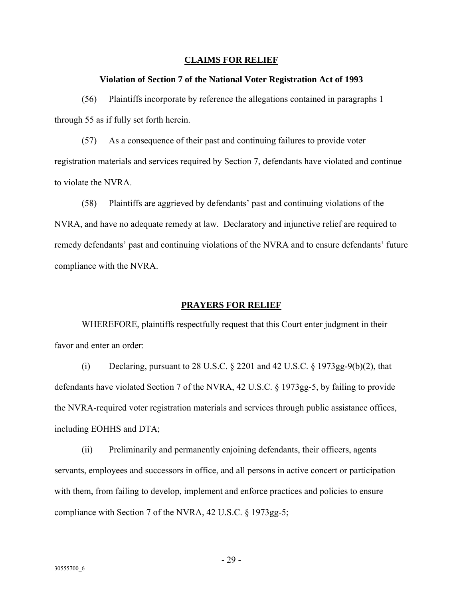# **CLAIMS FOR RELIEF**

# **Violation of Section 7 of the National Voter Registration Act of 1993**

(56) Plaintiffs incorporate by reference the allegations contained in paragraphs 1 through 55 as if fully set forth herein.

(57) As a consequence of their past and continuing failures to provide voter registration materials and services required by Section 7, defendants have violated and continue to violate the NVRA.

(58) Plaintiffs are aggrieved by defendants' past and continuing violations of the NVRA, and have no adequate remedy at law. Declaratory and injunctive relief are required to remedy defendants' past and continuing violations of the NVRA and to ensure defendants' future compliance with the NVRA.

# **PRAYERS FOR RELIEF**

WHEREFORE, plaintiffs respectfully request that this Court enter judgment in their favor and enter an order:

(i) Declaring, pursuant to 28 U.S.C.  $\S$  2201 and 42 U.S.C.  $\S$  1973gg-9(b)(2), that defendants have violated Section 7 of the NVRA, 42 U.S.C. § 1973gg-5, by failing to provide the NVRA-required voter registration materials and services through public assistance offices, including EOHHS and DTA;

(ii) Preliminarily and permanently enjoining defendants, their officers, agents servants, employees and successors in office, and all persons in active concert or participation with them, from failing to develop, implement and enforce practices and policies to ensure compliance with Section 7 of the NVRA, 42 U.S.C. § 1973gg-5;

- 29 -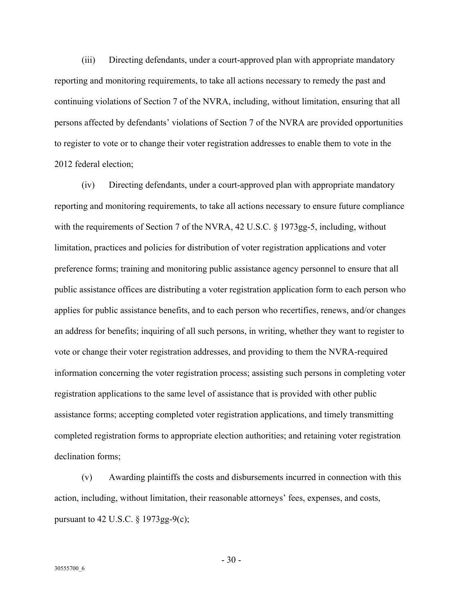(iii) Directing defendants, under a court-approved plan with appropriate mandatory reporting and monitoring requirements, to take all actions necessary to remedy the past and continuing violations of Section 7 of the NVRA, including, without limitation, ensuring that all persons affected by defendants' violations of Section 7 of the NVRA are provided opportunities to register to vote or to change their voter registration addresses to enable them to vote in the 2012 federal election;

(iv) Directing defendants, under a court-approved plan with appropriate mandatory reporting and monitoring requirements, to take all actions necessary to ensure future compliance with the requirements of Section 7 of the NVRA, 42 U.S.C. § 1973gg-5, including, without limitation, practices and policies for distribution of voter registration applications and voter preference forms; training and monitoring public assistance agency personnel to ensure that all public assistance offices are distributing a voter registration application form to each person who applies for public assistance benefits, and to each person who recertifies, renews, and/or changes an address for benefits; inquiring of all such persons, in writing, whether they want to register to vote or change their voter registration addresses, and providing to them the NVRA-required information concerning the voter registration process; assisting such persons in completing voter registration applications to the same level of assistance that is provided with other public assistance forms; accepting completed voter registration applications, and timely transmitting completed registration forms to appropriate election authorities; and retaining voter registration declination forms;

(v) Awarding plaintiffs the costs and disbursements incurred in connection with this action, including, without limitation, their reasonable attorneys' fees, expenses, and costs, pursuant to 42 U.S.C.  $\S$  1973gg-9(c);

 $-30 -$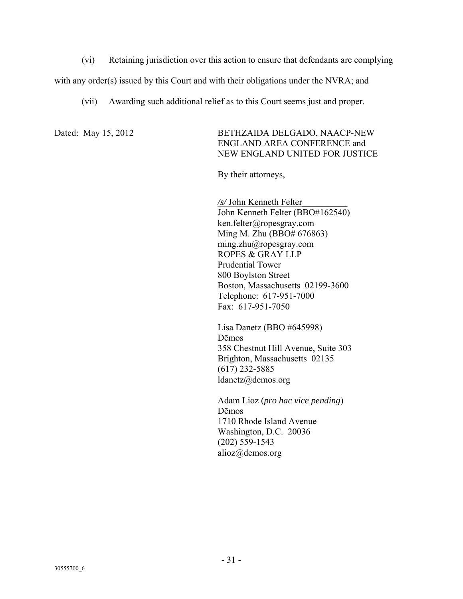(vi) Retaining jurisdiction over this action to ensure that defendants are complying

with any order(s) issued by this Court and with their obligations under the NVRA; and

(vii) Awarding such additional relief as to this Court seems just and proper.

Dated: May 15, 2012 BETHZAIDA DELGADO, NAACP-NEW ENGLAND AREA CONFERENCE and NEW ENGLAND UNITED FOR JUSTICE

By their attorneys,

*/s/* John Kenneth Felter\_\_\_\_\_\_\_\_\_\_ John Kenneth Felter (BBO#162540) ken.felter@ropesgray.com Ming M. Zhu (BBO# 676863) ming.zhu@ropesgray.com ROPES & GRAY LLP Prudential Tower 800 Boylston Street Boston, Massachusetts 02199-3600 Telephone: 617-951-7000 Fax: 617-951-7050

Lisa Danetz (BBO #645998) Dēmos 358 Chestnut Hill Avenue, Suite 303 Brighton, Massachusetts 02135 (617) 232-5885 ldanetz@demos.org

Adam Lioz (*pro hac vice pending*) Dēmos 1710 Rhode Island Avenue Washington, D.C. 20036 (202) 559-1543 alioz@demos.org